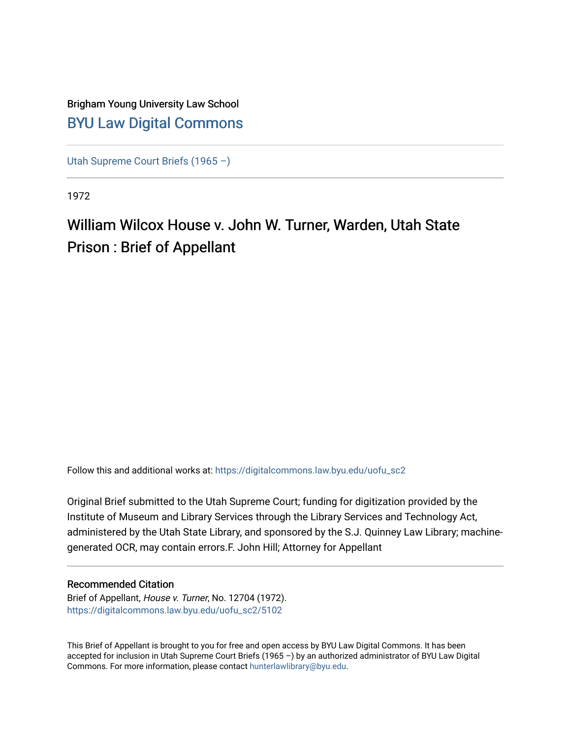## Brigham Young University Law School [BYU Law Digital Commons](https://digitalcommons.law.byu.edu/)

[Utah Supreme Court Briefs \(1965 –\)](https://digitalcommons.law.byu.edu/uofu_sc2)

1972

## William Wilcox House v. John W. Turner, Warden, Utah State Prison : Brief of Appellant

Follow this and additional works at: [https://digitalcommons.law.byu.edu/uofu\\_sc2](https://digitalcommons.law.byu.edu/uofu_sc2?utm_source=digitalcommons.law.byu.edu%2Fuofu_sc2%2F5102&utm_medium=PDF&utm_campaign=PDFCoverPages)

Original Brief submitted to the Utah Supreme Court; funding for digitization provided by the Institute of Museum and Library Services through the Library Services and Technology Act, administered by the Utah State Library, and sponsored by the S.J. Quinney Law Library; machinegenerated OCR, may contain errors.F. John Hill; Attorney for Appellant

#### Recommended Citation

Brief of Appellant, House v. Turner, No. 12704 (1972). [https://digitalcommons.law.byu.edu/uofu\\_sc2/5102](https://digitalcommons.law.byu.edu/uofu_sc2/5102?utm_source=digitalcommons.law.byu.edu%2Fuofu_sc2%2F5102&utm_medium=PDF&utm_campaign=PDFCoverPages) 

This Brief of Appellant is brought to you for free and open access by BYU Law Digital Commons. It has been accepted for inclusion in Utah Supreme Court Briefs (1965 –) by an authorized administrator of BYU Law Digital Commons. For more information, please contact [hunterlawlibrary@byu.edu](mailto:hunterlawlibrary@byu.edu).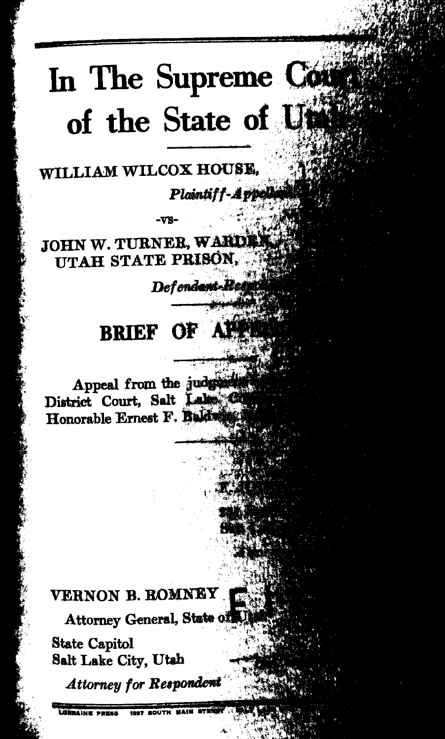# In The Supreme Con of the State of Ufa

WILLIAM WILCOX HOUSE.

Plaintiff-Appell

**JOHN W. TURNER, WARDEN** UTAH STATE PRISON.

Defendant-Reti

#### OF AN **BRIEF**

Appeal from the judgment District Court, Salt Lalos C Honorable Ernest F. Baldwi

## VERNON B. ROMNEY

Attorney General, State of

**State Capitol** Salt Lake City, Utah

**Attorney for Respondent** 

**THE HIGHLANDS**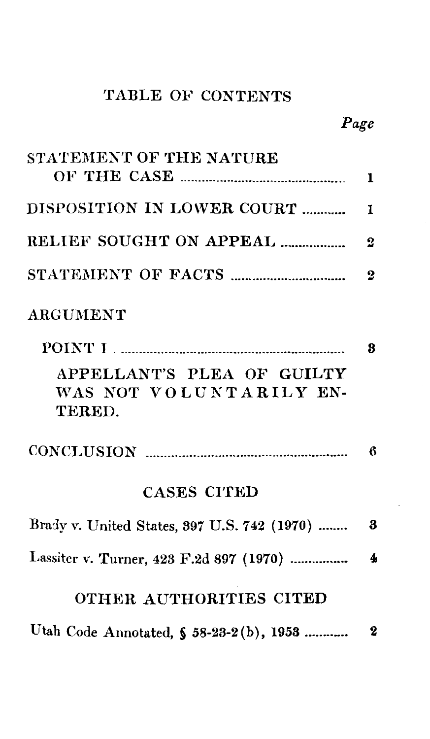## TABLE OF CONTENTS

| STATEMENT OF THE NATURE                                         |                  |
|-----------------------------------------------------------------|------------------|
|                                                                 | $\mathbf{1}$     |
| DISPOSITION IN LOWER COURT                                      | $\mathbf{1}$     |
|                                                                 | $\overline{2}$   |
|                                                                 | $\overline{2}$   |
| <b>ARGUMENT</b>                                                 |                  |
|                                                                 | 8                |
| APPELLANT'S PLEA OF GUILTY<br>WAS NOT VOLUNTARILY EN-<br>TERED. |                  |
|                                                                 |                  |
| <b>CASES CITED</b>                                              |                  |
| Brady v. United States, 397 U.S. 742 (1970)                     | 3                |
| Lassiter v. Turner, 423 F.2d 897 (1970)                         | $\boldsymbol{4}$ |
| OTHER AUTHORITIES CITED                                         |                  |
|                                                                 |                  |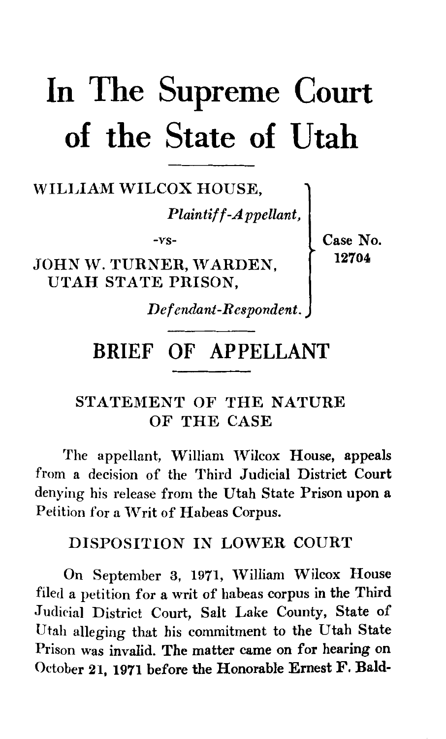# **In The Supreme Court of the State of Utah**

## WILLIAM WILCOX HOUSE,

*Plaintiff-Appellant,* 

-vs-

JOHN W. TURNER, WARDEN, UTAH STATE PRISON,

Case No. 12704

*Def enilant-R espondent.* 

## BRIEF OF APPELLANT

## STATEMENT OF THE NATURE OF THE CASE

The appellant, William Wilcox House, appeals from a decision of the Third Judicial District Court denying his release from the Utah State Prison upon a Petition for a Writ of Habeas Corpus.

### DISPOSITION IN LOWER COURT

On September 3, 1971, William Wilcox House filed a petition for a writ of habeas corpus in the Third Judicial District Court, Salt Lake County, State of Utah alleging that his commitment to the Utah State Prison was invalid. The matter came on for hearing on October 21, 1971 before the Honorable Ernest F. Bald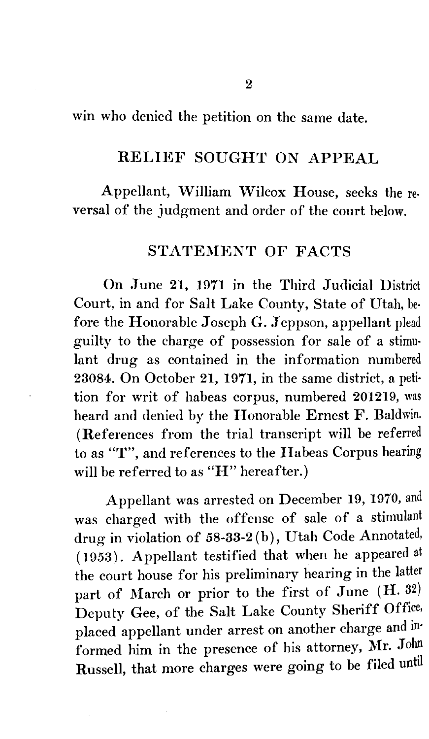win who denied the petition on the same date.

#### RELIEF SOUGHT ON APPEAL

Appellant, William Wilcox House, seeks the reversal of the judgment and order of the court below.

### STATEMENT OF FACTS

On June 21, 1971 in the Third Judicial District Court, in and for Salt Lake County, State of Utah, be· fore the Honorable Joseph G. Jeppson, appellant plead guilty to the charge of possession for sale of a stimu· lant drug as contained in the information numbered 23084. On October 21, 1971, in the same district, a peti· tion for writ of habeas corpus, numbered 201219, was heard and denied by the Honorable Ernest F. Baldwin. (References from the trial transcript will be referred to as "T", and references to the IIabeas Corpus hearing will be referred to as "H" hereafter.)

Appellant was arrested on December 19, 1970, and was charged with the offense of sale of a stimulant drug in violation of 58-33-2 (b), Utah Code Annotated, (1953). Appellant testified that when he appeared at the court house for his preliminary hearing in the latter part of March or prior to the first of June  $(H. 32)$ Deputy Gee, of the Salt Lake County Sheriff Office, placed appellant under arrest on another charge and in· formed him in the presence of his attorney, Mr. John Russell, that more charges were going to be filed until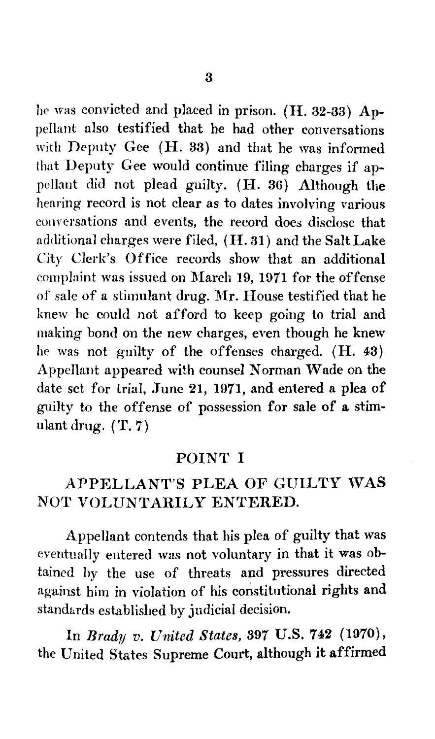he was convicted and placed in prison. (H. 32-33) Appellant also testified that he had other conversations with Deputy Gee (H. 33) and that he was informed that Deputy Gee would continue filing charges if appellant did not plead guilty. (H. 36) Although the hearing record is not clear as to dates involving various conversations and events, the record does disclose that additional charges were filed, ( H. 31) and the Salt Lake City Clerk's Office records show that an additional complaint was issued on March 19, 1971 for the offense of sale of a stimulant drug. Mr. House testified that he knew he could not afford to keep going to trial and making bond on the new charges, even though he knew he was not guilty of the offenses charged. (H. 43) Appellant appeared with counsel Norman Wade on the date set for trial, June 21, 1971, and entered a plea of guilty to the offense of possession for sale of a stimulant drug.  $(T, 7)$ 

#### POINT I

## APPELLANT'S PLEA OF GUILTY WAS NOT VOLUNTARILY ENTERED.

Appellant contends that his plea of guilty that was eventually entered was not voluntary in that it was obtained by the use of threats and pressures directed against him in violation of his constitutional rights and standurds established by judicial decision.

In *Brady v. United States,* 397 U.S. 742 (1970), the United States Supreme Court, although it affirmed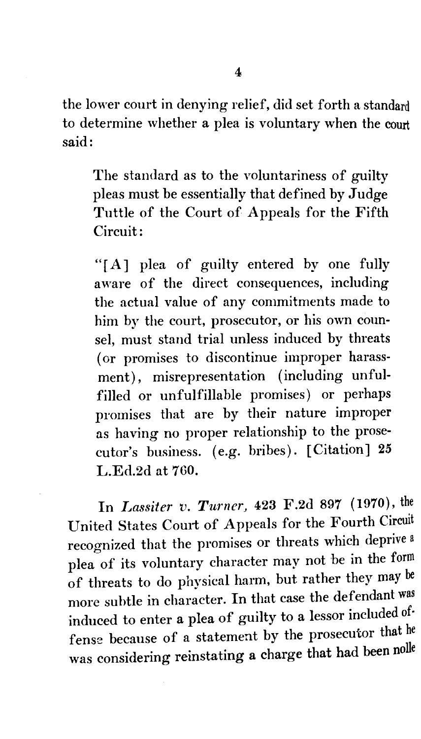the lower court in denying relief, did set forth a standard to determine whether a plea is voluntary when the court said:

The standard as to the voluntariness of guilty pleas must be essentially that defined by Judge Tuttle of the Court of Appeals for the Fifth Circuit:

"[A] plea of guilty entered by one fully aware of the direct consequences, including the actual value of any commitments made to him by the court, prosecutor, or his own counsel, must stand trial unless induced by threats (or promises to discontinue improper harassment), misrepresentation (including unfulfilled or unfulfillable promises) or perhaps promises that are by their nature improper as having no proper relationship to the prosecutor's business. (e.g. bribes). [Citation] 25 L.Ed.2d at 760.

In *Lassiter v. Turner,* 423 F.2d 897 (1970), the United States Comt of Appeals for the Fourth Circuit recognized that the promises or threats which deprive a plea of its voluntary character may not be in the form of threats to do physical harm, but rather they may be more subtle in character. In that case the defendant was induced to enter a plea of guilty to a lessor included of· fense because of a statement by the prosecutor that he was considering reinstating a charge that had been nolle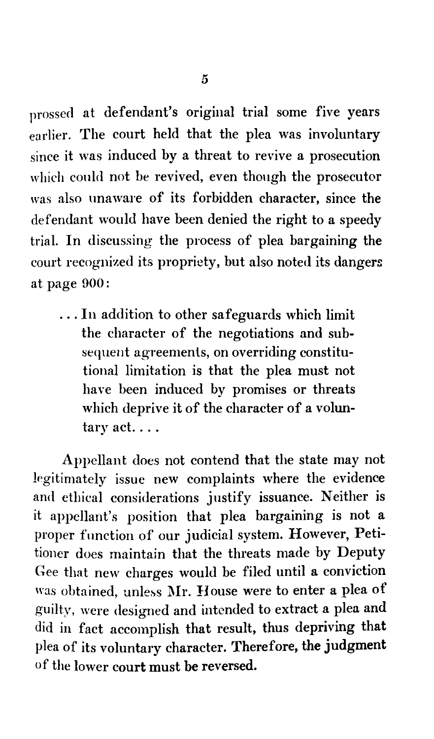prossed at defendant's original trial some five years earlier. The court held that the plea was involuntary since it was induced by a threat to revive a prosecution which could not be revived, even though the prosecutor was also unaware of its forbidden character, since the defendant would have been denied the right to a speedy trial. In discussing the process of plea bargaining the court recognized its propriety, but also noted its dangers at page 900:

... In addition to other safeguards which limit the character of the negotiations and subsequent agreements, on overriding constitutional limitation is that the plea must not have been induced by promises or threats which deprive it of the character of a volun $t$ ary act....

Appellant does not contend that the state may not legitimately issue new complaints where the evidence and ethical considerations justify issuance. Neither is it appellant's position that plea bargaining is not a proper function of our judicial system. However, Petitioner does maintain that the threats made by Deputy Gee that new charges would be filed until a conviction was obtained, unless Mr. House were to enter a plea of guilty, were designed and intended to extract a plea and did in fact accomplish that result, thus depriving that plea of its voluntary character. Therefore, the judgment of the lower court must be reversed.